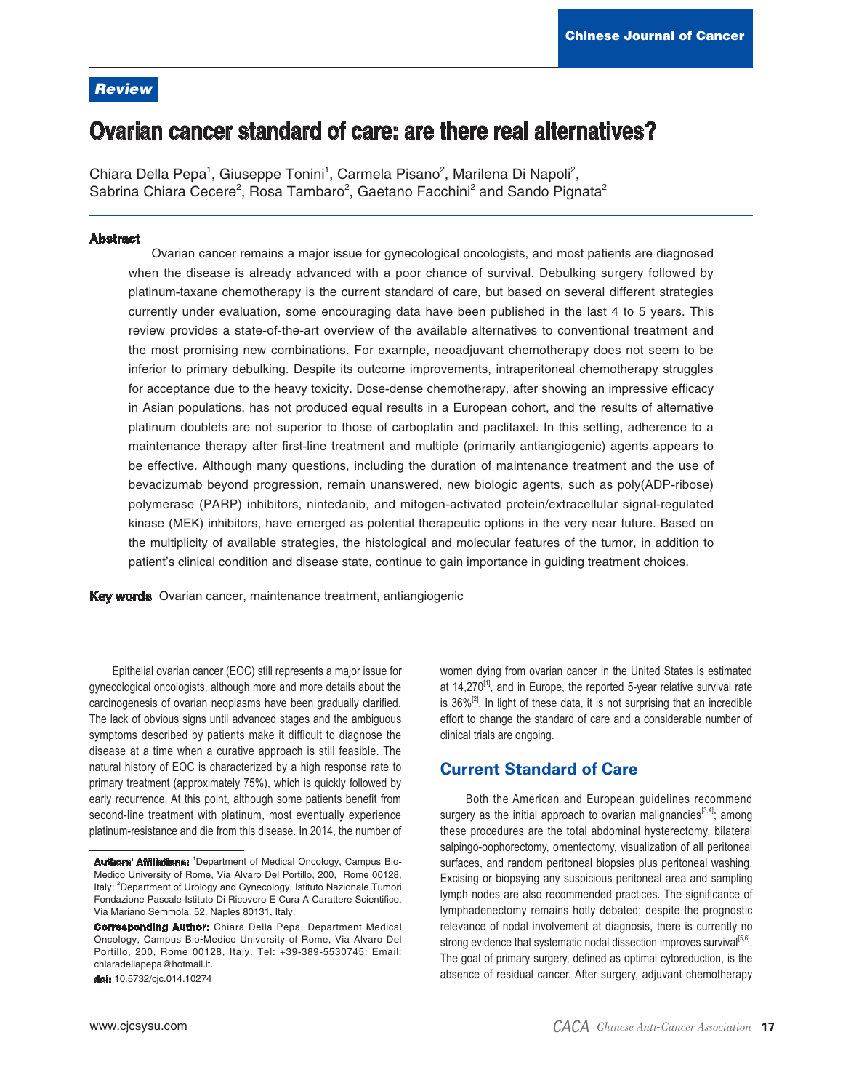## **Review**

# Ovarian cancer standard of care: are there real alternatives?

Chiara Della Pepa<sup>1</sup>, Giuseppe Tonini<sup>1</sup>, Carmela Pisano<sup>2</sup>, Marilena Di Napoli<sup>2</sup>, Sabrina Chiara Cecere<sup>2</sup>, Rosa Tambaro<sup>2</sup>, Gaetano Facchini<sup>2</sup> and Sando Pignata<sup>2</sup>

#### **Abstract**

Ovarian cancer remains a major issue for gynecological oncologists, and most patients are diagnosed when the disease is already advanced with a poor chance of survival. Debulking surgery followed by platinum-taxane chemotherapy is the current standard of care, but based on several different strategies currently under evaluation, some encouraging data have been published in the last 4 to 5 years. This review provides a state-of-the-art overview of the available alternatives to conventional treatment and the most promising new combinations. For example, neoadjuvant chemotherapy does not seem to be inferior to primary debulking. Despite its outcome improvements, intraperitoneal chemotherapy struggles for acceptance due to the heavy toxicity. Dose-dense chemotherapy, after showing an impressive efficacy in Asian populations, has not produced equal results in a European cohort, and the results of alternative platinum doublets are not superior to those of carboplatin and paclitaxel. In this setting, adherence to a maintenance therapy after first-line treatment and multiple (primarily antiangiogenic) agents appears to be effective. Although many questions, including the duration of maintenance treatment and the use of bevacizumab beyond progression, remain unanswered, new biologic agents, such as poly(ADP-ribose) polymerase (PARP) inhibitors, nintedanib, and mitogen-activated protein/extracellular signal-regulated kinase (MEK) inhibitors, have emerged as potential therapeutic options in the very near future. Based on the multiplicity of available strategies, the histological and molecular features of the tumor, in addition to patient's clinical condition and disease state, continue to gain importance in guiding treatment choices.

Key words Ovarian cancer, maintenance treatment, antiangiogenic

Epithelial ovarian cancer (EOC) still represents a major issue for gynecological oncologists, although more and more details about the carcinogenesis of ovarian neoplasms have been gradually clarified. The lack of obvious signs until advanced stages and the ambiguous symptoms described by patients make it difficult to diagnose the disease at a time when a curative approach is still feasible. The natural history of EOC is characterized by a high response rate to primary treatment (approximately 75%), which is quickly followed by early recurrence. At this point, although some patients benefit from second-line treatment with platinum, most eventually experience platinum-resistance and die from this disease. In 2014, the number of

dol: 10.5732/cjc.014.10274

women dying from ovarian cancer in the United States is estimated at  $14,270^{11}$ , and in Europe, the reported 5-year relative survival rate is  $36\%^{[2]}$ . In light of these data, it is not surprising that an incredible effort to change the standard of care and a considerable number of clinical trials are ongoing.

## **Current Standard of Care**

Both the American and European quidelines recommend surgery as the initial approach to ovarian malignancies<sup>[3,4]</sup>; among these procedures are the total abdominal hysterectomy, bilateral salpingo-oophorectomy, omentectomy, visualization of all peritoneal surfaces, and random peritoneal biopsies plus peritoneal washing. Excising or biopsying any suspicious peritoneal area and sampling lymph nodes are also recommended practices. The significance of lymphadenectomy remains hotly debated; despite the prognostic relevance of nodal involvement at diagnosis, there is currently no strong evidence that systematic nodal dissection improves survival<sup>[5,6]</sup>. The goal of primary surgery, defined as optimal cytoreduction, is the absence of residual cancer. After surgery, adjuvant chemotherapy

Authors' Affiliations: <sup>1</sup>Department of Medical Oncology, Campus Bio-Medico University of Rome, Via Alvaro Del Portillo, 200, Rome 00128, Italy; <sup>2</sup>Department of Urology and Gynecology, Istituto Nazionale Tumori Fondazione Pascale-Istituto Di Ricovero E Cura A Carattere Scientifico, Via Mariano Semmola, 52, Naples 80131, Italy.

**Corresponding Author:** Chiara Della Pepa, Department Medical Oncology, Campus Bio-Medico University of Rome, Via Alvaro Del Portillo, 200, Rome 00128, Italy. Tel: +39-389-5530745; Email: chiaradellapepa@hotmail.it.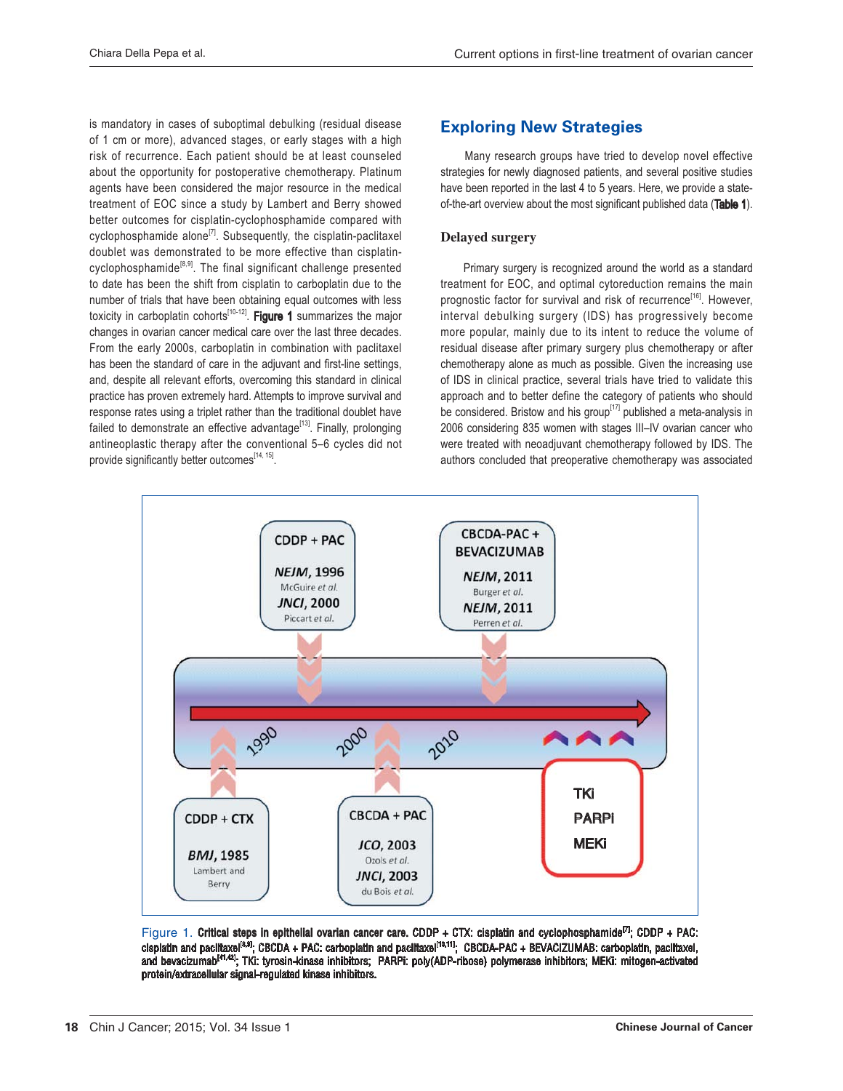is mandatory in cases of suboptimal debulking (residual disease of 1 cm or more), advanced stages, or early stages with a high risk of recurrence. Each patient should be at least counseled about the opportunity for postoperative chemotherapy. Platinum agents have been considered the major resource in the medical treatment of EOC since a study by Lambert and Berry showed better outcomes for cisplatin-cyclophosphamide compared with cyclophosphamide alone<sup>[7]</sup>. Subsequently, the cisplatin-paclitaxel doublet was demonstrated to be more effective than cisplatincyclophosphamide<sup>[8,9]</sup>. The final significant challenge presented to date has been the shift from cisplatin to carboplatin due to the number of trials that have been obtaining equal outcomes with less toxicity in carboplatin cohorts $^{[10-12]}$ . Figure 1 summarizes the major changes in ovarian cancer medical care over the last three decades. From the early 2000s, carboplatin in combination with paclitaxel has been the standard of care in the adjuvant and first-line settings, and, despite all relevant efforts, overcoming this standard in clinical practice has proven extremely hard. Attempts to improve survival and response rates using a triplet rather than the traditional doublet have failed to demonstrate an effective advantage<sup>[13]</sup>. Finally, prolonging antineoplastic therapy after the conventional 5–6 cycles did not provide significantly better outcomes[14, 15].

# **Exploring New Strategies**

 Many research groups have tried to develop novel effective strategies for newly diagnosed patients, and several positive studies have been reported in the last 4 to 5 years. Here, we provide a stateof-the-art overview about the most significant published data (Table 1).

#### Delayed surgery

Primary surgery is recognized around the world as a standard treatment for EOC, and optimal cytoreduction remains the main prognostic factor for survival and risk of recurrence<sup>[16]</sup>. However, interval debulking surgery (IDS) has progressively become more popular, mainly due to its intent to reduce the volume of residual disease after primary surgery plus chemotherapy or after chemotherapy alone as much as possible. Given the increasing use of IDS in clinical practice, several trials have tried to validate this approach and to better define the category of patients who should be considered. Bristow and his group<sup>[17]</sup> published a meta-analysis in 2006 considering 835 women with stages III-IV ovarian cancer who were treated with neoadjuvant chemotherapy followed by IDS. The authors concluded that preoperative chemotherapy was associated



Figure 1. Critical steps in epithelial ovarian cancer care. CDDP + CTX: cisplatin and cyclophosphamide<sup>[7]</sup>; CDDP + PAC: cisplatin and paclitaxel<sup>[8,9]</sup>; CBCDA + PAC: carboplatin and paclitaxel<sup>[10,11]</sup>; CBCDA-PAC + BEVACIZUMAB: carboplatin, paclitaxel, and bevacizumab<sup>(41,42)</sup>; TKi: tyrosin-kinase inhibitors; PARPi: poly(ADP-ribose) polymerase inhibitors; MEKi: mitogen-activated protein/extracellular signal-regulated kinase inhibitors.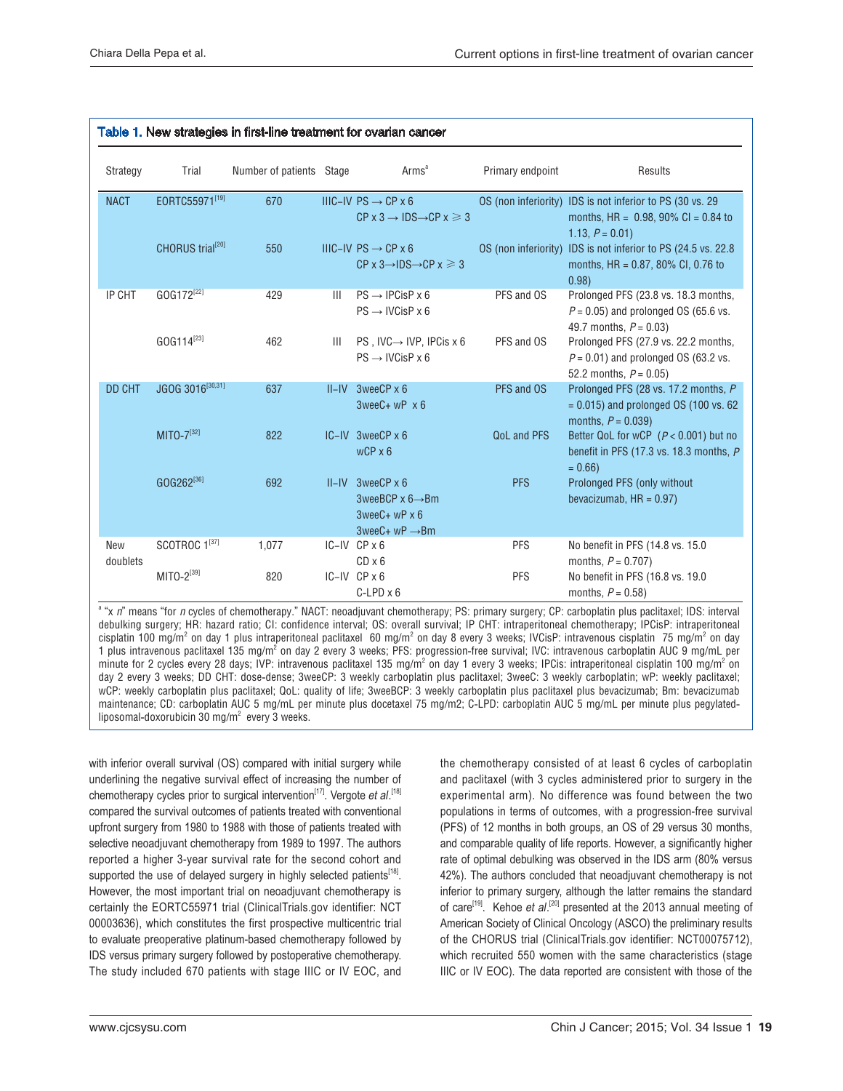|                 |                              |                          |                | Table 1. New strategies in first-line treatment for ovarian cancer                                                         |                    |                                                                                                                           |
|-----------------|------------------------------|--------------------------|----------------|----------------------------------------------------------------------------------------------------------------------------|--------------------|---------------------------------------------------------------------------------------------------------------------------|
| Strategy        | Trial                        | Number of patients Stage |                | Arms <sup>a</sup>                                                                                                          | Primary endpoint   | Results                                                                                                                   |
| <b>NACT</b>     | EORTC55971[19]               | 670                      |                | IIIC-IV PS $\rightarrow$ CP x 6<br>$CP \times 3 \rightarrow IDS \rightarrow CP \times \geq 3$                              |                    | OS (non inferiority) IDS is not inferior to PS (30 vs. 29<br>months, $HR = 0.98$ , 90% $Cl = 0.84$ to<br>1.13, $P = 0.01$ |
|                 | CHORUS trial <sup>[20]</sup> | 550                      |                | IIIC-IV PS $\rightarrow$ CP $\times$ 6<br>$CP \times 3 \rightarrow 1DS \rightarrow CP \times 3$                            |                    | OS (non inferiority) IDS is not inferior to PS (24.5 vs. 22.8<br>months, HR = 0.87, 80% CI, 0.76 to<br>0.98)              |
| IP CHT          | GOG172 <sup>[22]</sup>       | 429                      | $\mathbf{III}$ | $PS \rightarrow IPCisP \times 6$<br>$PS \rightarrow IVCisP \times 6$                                                       | PFS and OS         | Prolonged PFS (23.8 vs. 18.3 months,<br>$P = 0.05$ ) and prolonged OS (65.6 vs.<br>49.7 months. $P = 0.03$ )              |
|                 | GOG114 <sup>[23]</sup>       | 462                      | Ш              | PS, IVC $\rightarrow$ IVP, IPCis x 6<br>$PS \rightarrow IVCisP \times 6$                                                   | PFS and OS         | Prolonged PFS (27.9 vs. 22.2 months,<br>$P = 0.01$ ) and prolonged OS (63.2 vs.<br>52.2 months, $P = 0.05$ )              |
| <b>DD CHT</b>   | JGOG 3016[30,31]             | 637                      |                | $II$ –IV 3weeCP $x 6$<br>$3$ wee $C+$ wP $\times$ 6                                                                        | PFS and OS         | Prolonged PFS (28 vs. 17.2 months, P<br>$= 0.015$ ) and prolonged OS (100 vs. 62)<br>months, $P = 0.039$ )                |
|                 | $MITO - 7^{[32]}$            | 822                      |                | $IC$ – $IV$ 3wee $CP \times 6$<br>$WCP \times 6$                                                                           | <b>QoL and PFS</b> | Better QoL for wCP $(P < 0.001)$ but no<br>benefit in PFS (17.3 vs. 18.3 months, P<br>$= 0.66$                            |
|                 | GOG262[36]                   | 692                      |                | $II$ –IV 3weeCP $x 6$<br>3weeBCP $x$ 6 $\rightarrow$ Bm<br>$3$ wee $C$ + wP $\times$ 6<br>$3$ wee $C+$ wP $\rightarrow$ Bm | <b>PFS</b>         | Prolonged PFS (only without<br>bevacizumab, $HR = 0.97$ )                                                                 |
| New<br>doublets | SCOTROC 1[37]                | 1,077                    |                | $IC-IV$ $CP \times 6$<br>$CD \times 6$                                                                                     | <b>PFS</b>         | No benefit in PFS (14.8 vs. 15.0<br>months, $P = 0.707$ )                                                                 |
|                 | $MITO-2^{[39]}$              | 820                      |                | $IC-IV$ $CP \times 6$<br>$C$ -LPD $\times$ 6                                                                               | PFS                | No benefit in PFS (16.8 vs. 19.0<br>months, $P = 0.58$ )                                                                  |

<sup>a</sup> "x n" means "for n cycles of chemotherapy." NACT: neoadjuvant chemotherapy; PS: primary surgery; CP: carboplatin plus paclitaxel; IDS: interval debulking surgery; HR: hazard ratio; CI: confidence interval; OS: overall survival; IP CHT: intraperitoneal chemotherapy; IPCisP: intraperitoneal cisplatin 100 mg/m<sup>2</sup> on day 1 plus intraperitoneal paclitaxel 60 mg/m<sup>2</sup> on day 8 every 3 weeks; IVCisP: intravenous cisplatin 75 mg/m<sup>2</sup> on day 1 plus intravenous paclitaxel 135 mg/m<sup>2</sup> on day 2 every 3 weeks; PFS: progression-free survival; IVC: intravenous carboplatin AUC 9 mg/mL per minute for 2 cycles every 28 days; IVP: intravenous paclitaxel 135 mg/m<sup>2</sup> on day 1 every 3 weeks; IPCis: intraperitoneal cisplatin 100 mg/m<sup>2</sup> on day 2 every 3 weeks; DD CHT: dose-dense; 3weeCP: 3 weekly carboplatin plus paclitaxel; 3weeC: 3 weekly carboplatin; wP: weekly paclitaxel; wCP: weekly carboplatin plus paclitaxel; QoL: quality of life; 3weeBCP: 3 weekly carboplatin plus paclitaxel plus bevacizumab; Bm: bevacizumab maintenance; CD: carboplatin AUC 5 mg/mL per minute plus docetaxel 75 mg/m2; C-LPD: carboplatin AUC 5 mg/mL per minute plus pegylatedliposomal-doxorubicin 30 mg/m<sup>2</sup> every 3 weeks.

with inferior overall survival (OS) compared with initial surgery while underlining the negative survival effect of increasing the number of chemotherapy cycles prior to surgical intervention<sup>[17]</sup>. Vergote et al.<sup>[18]</sup> compared the survival outcomes of patients treated with conventional upfront surgery from 1980 to 1988 with those of patients treated with selective neoadjuvant chemotherapy from 1989 to 1997. The authors reported a higher 3-year survival rate for the second cohort and supported the use of delayed surgery in highly selected patients<sup>[18]</sup>. However, the most important trial on neoadjuvant chemotherapy is certainly the EORTC55971 trial (ClinicalTrials.gov identifier: NCT 00003636), which constitutes the first prospective multicentric trial to evaluate preoperative platinum-based chemotherapy followed by IDS versus primary surgery followed by postoperative chemotherapy. The study included 670 patients with stage IIIC or IV EOC, and

the chemotherapy consisted of at least 6 cycles of carboplatin and paclitaxel (with 3 cycles administered prior to surgery in the experimental arm). No difference was found between the two populations in terms of outcomes, with a progression-free survival (PFS) of 12 months in both groups, an OS of 29 versus 30 months, and comparable quality of life reports. However, a significantly higher rate of optimal debulking was observed in the IDS arm (80% versus 42%). The authors concluded that neoadjuvant chemotherapy is not inferior to primary surgery, although the latter remains the standard of care<sup>[19]</sup>. Kehoe et al.<sup>[20]</sup> presented at the 2013 annual meeting of American Society of Clinical Oncology (ASCO) the preliminary results of the CHORUS trial (ClinicalTrials.gov identifier: NCT00075712), which recruited 550 women with the same characteristics (stage IIIC or IV EOC). The data reported are consistent with those of the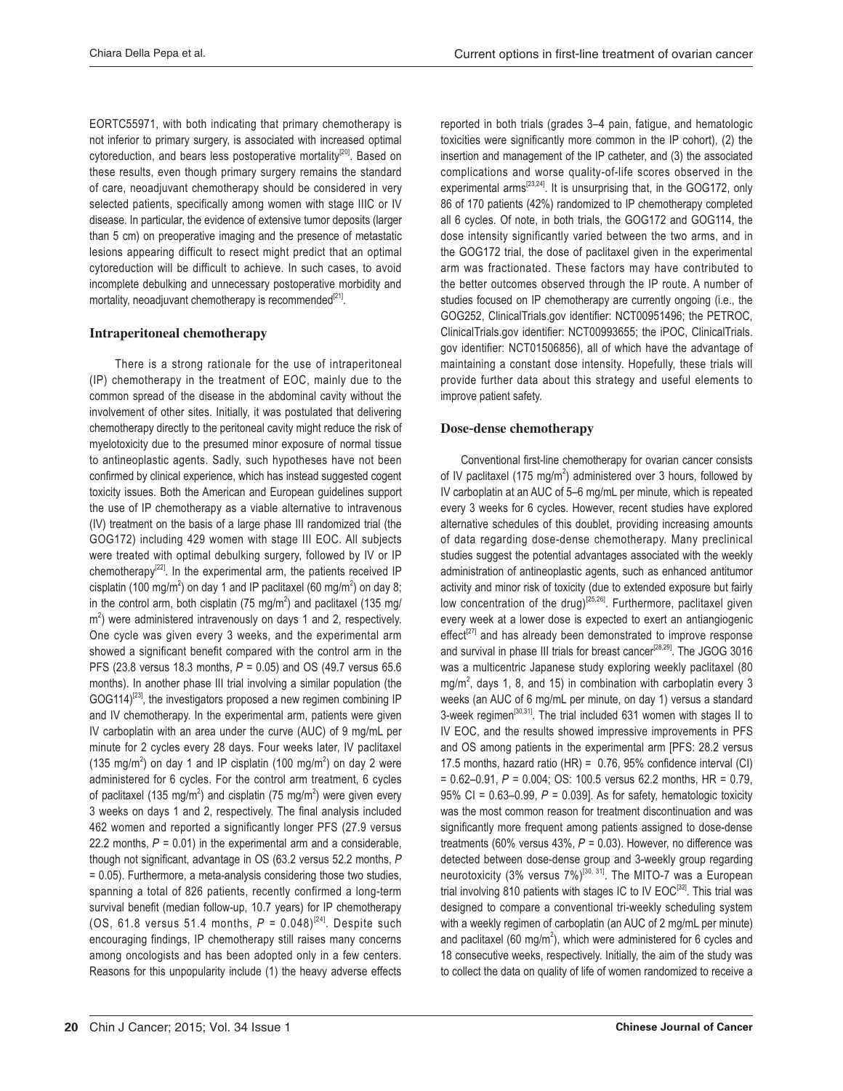EORTC55971, with both indicating that primary chemotherapy is not inferior to primary surgery, is associated with increased optimal cytoreduction, and bears less postoperative mortality<sup>[20]</sup>. Based on these results, even though primary surgery remains the standard of care, neoadjuvant chemotherapy should be considered in very selected patients, specifically among women with stage IIIC or IV disease. In particular, the evidence of extensive tumor deposits (larger than 5 cm) on preoperative imaging and the presence of metastatic lesions appearing difficult to resect might predict that an optimal cytoreduction will be difficult to achieve. In such cases, to avoid incomplete debulking and unnecessary postoperative morbidity and mortality, neoadjuvant chemotherapy is recommended<sup>[21]</sup>.

#### **Intraperitoneal chemotherapy**

There is a strong rationale for the use of intraperitoneal (IP) chemotherapy in the treatment of EOC, mainly due to the common spread of the disease in the abdominal cavity without the involvement of other sites. Initially, it was postulated that delivering chemotherapy directly to the peritoneal cavity might reduce the risk of myelotoxicity due to the presumed minor exposure of normal tissue to antineoplastic agents. Sadly, such hypotheses have not been confirmed by clinical experience, which has instead suggested cogent toxicity issues. Both the American and European guidelines support the use of IP chemotherapy as a viable alternative to intravenous (IV) treatment on the basis of a large phase III randomized trial (the GOG172) including 429 women with stage III EOC. All subjects were treated with optimal debulking surgery, followed by IV or IP chemotherapy<sup>[22]</sup>. In the experimental arm, the patients received IP cisplatin (100 mg/m<sup>2</sup>) on day 1 and IP paclitaxel (60 mg/m<sup>2</sup>) on day 8; in the control arm, both cisplatin (75 mg/m<sup>2</sup>) and paclitaxel (135 mg/  $m<sup>2</sup>$ ) were administered intravenously on days 1 and 2, respectively. One cycle was given every 3 weeks, and the experimental arm showed a significant benefit compared with the control arm in the PFS (23.8 versus 18.3 months,  $P = 0.05$ ) and OS (49.7 versus 65.6 months). In another phase III trial involving a similar population (the GOG114)<sup>[23]</sup>, the investigators proposed a new regimen combining IP and IV chemotherapy. In the experimental arm, patients were given IV carboplatin with an area under the curve (AUC) of 9 mg/mL per minute for 2 cycles every 28 days. Four weeks later, IV paclitaxel (135 mg/m<sup>2</sup>) on day 1 and IP cisplatin (100 mg/m<sup>2</sup>) on day 2 were administered for 6 cycles. For the control arm treatment, 6 cycles of paclitaxel (135 mg/m<sup>2</sup>) and cisplatin (75 mg/m<sup>2</sup>) were given every 3 weeks on days 1 and 2, respectively. The final analysis included 462 women and reported a significantly longer PFS (27.9 versus 22.2 months,  $P = 0.01$ ) in the experimental arm and a considerable, though not significant, advantage in OS (63.2 versus 52.2 months, P = 0.05). Furthermore, a meta-analysis considering those two studies, spanning a total of 826 patients, recently confirmed a long-term survival benefit (median follow-up, 10.7 years) for IP chemotherapy (OS, 61.8 versus 51.4 months,  $P = 0.048$ )<sup>[24]</sup>. Despite such encouraging findings, IP chemotherapy still raises many concerns among oncologists and has been adopted only in a few centers. Reasons for this unpopularity include (1) the heavy adverse effects

reported in both trials (grades 3–4 pain, fatigue, and hematologic toxicities were significantly more common in the IP cohort), (2) the insertion and management of the IP catheter, and (3) the associated complications and worse quality-of-life scores observed in the experimental arms<sup>[23,24]</sup>. It is unsurprising that, in the GOG172, only 86 of 170 patients (42%) randomized to IP chemotherapy completed all 6 cycles. Of note, in both trials, the GOG172 and GOG114, the dose intensity significantly varied between the two arms, and in the GOG172 trial, the dose of paclitaxel given in the experimental arm was fractionated. These factors may have contributed to the better outcomes observed through the IP route. A number of studies focused on IP chemotherapy are currently ongoing (i.e., the GOG252, ClinicalTrials.gov identifier: NCT00951496; the PETROC, ClinicalTrials.gov identifier: NCT00993655; the iPOC, ClinicalTrials. gov identifier: NCT01506856), all of which have the advantage of maintaining a constant dose intensity. Hopefully, these trials will provide further data about this strategy and useful elements to improve patient safety.

#### Dose-dense chemotherapy

Conventional first-line chemotherapy for ovarian cancer consists of IV paclitaxel (175 mg/m<sup>2</sup>) administered over 3 hours, followed by IV carboplatin at an AUC of 5-6 mg/mL per minute, which is repeated every 3 weeks for 6 cycles. However, recent studies have explored alternative schedules of this doublet, providing increasing amounts of data regarding dose-dense chemotherapy. Many preclinical studies suggest the potential advantages associated with the weekly administration of antineoplastic agents, such as enhanced antitumor activity and minor risk of toxicity (due to extended exposure but fairly low concentration of the drug)<sup>[25,26]</sup>. Furthermore, paclitaxel given every week at a lower dose is expected to exert an antiangiogenic effect<sup>[27]</sup> and has already been demonstrated to improve response and survival in phase III trials for breast cancer<sup>[28,29]</sup>. The JGOG 3016 was a multicentric Japanese study exploring weekly paclitaxel (80  $mg/m<sup>2</sup>$ , days 1, 8, and 15) in combination with carboplatin every 3 weeks (an AUC of 6 mg/mL per minute, on day 1) versus a standard 3-week regimen<sup>[30,31]</sup>. The trial included 631 women with stages II to IV EOC, and the results showed impressive improvements in PFS and OS among patients in the experimental arm [PFS: 28.2 versus 17.5 months, hazard ratio (HR) = 0.76, 95% confidence interval (CI) =  $0.62-0.91$ ,  $P = 0.004$ ; OS: 100.5 versus 62.2 months, HR = 0.79, 95% CI = 0.63-0.99,  $P = 0.039$ ]. As for safety, hematologic toxicity was the most common reason for treatment discontinuation and was significantly more frequent among patients assigned to dose-dense treatments (60% versus 43%,  $P = 0.03$ ). However, no difference was detected between dose-dense group and 3-weekly group regarding neurotoxicity (3% versus 7%)<sup>[30, 31]</sup>. The MITO-7 was a European trial involving 810 patients with stages IC to IV EOC<sup>[32]</sup>. This trial was designed to compare a conventional tri-weekly scheduling system with a weekly regimen of carboplatin (an AUC of 2 mg/mL per minute) and paclitaxel (60 mg/m<sup>2</sup>), which were administered for 6 cycles and 18 consecutive weeks, respectively. Initially, the aim of the study was to collect the data on quality of life of women randomized to receive a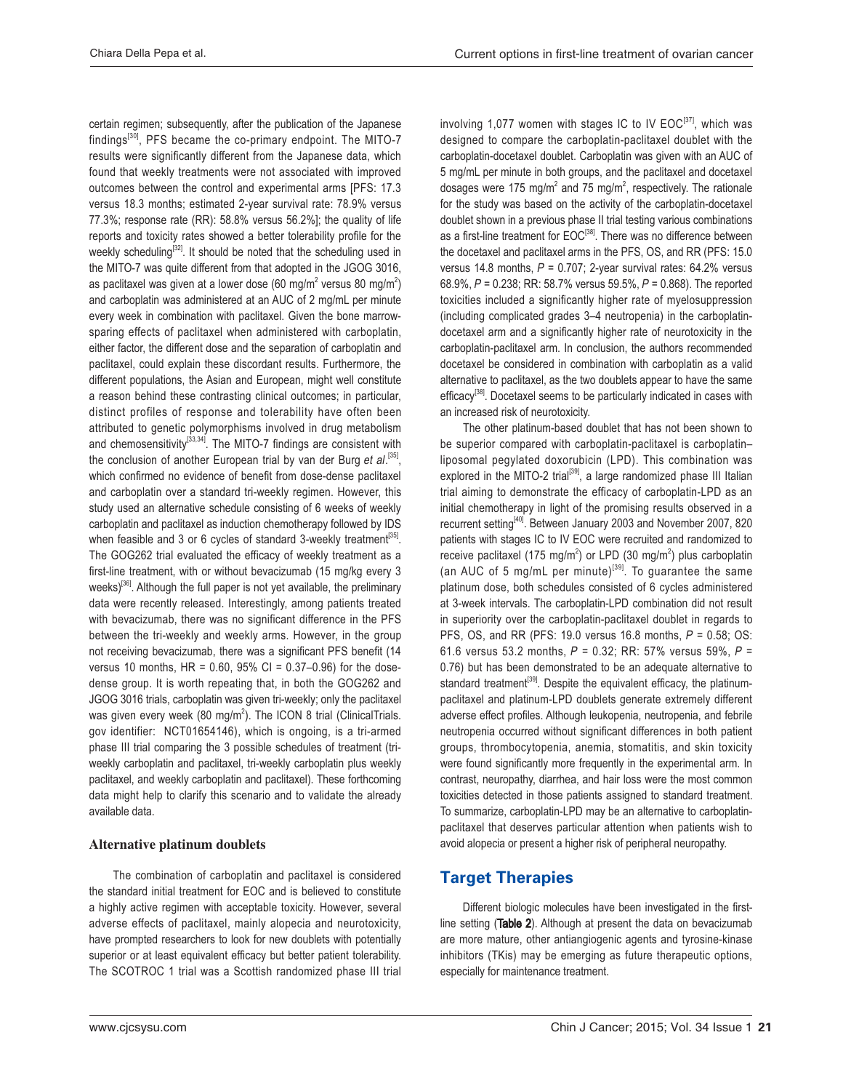certain regimen; subsequently, after the publication of the Japanese findings<sup>[30]</sup>, PFS became the co-primary endpoint. The MITO-7 results were significantly different from the Japanese data, which found that weekly treatments were not associated with improved outcomes between the control and experimental arms [PFS: 17.3 versus 18.3 months; estimated 2-year survival rate: 78.9% versus 77.3%; response rate  $(RR)$ : 58.8% versus 56.2%]; the quality of life reports and toxicity rates showed a better tolerability profile for the weekly scheduling<sup>[32]</sup>. It should be noted that the scheduling used in the MITO-7 was quite different from that adopted in the JGOG 3016, as paclitaxel was given at a lower dose (60 mg/m<sup>2</sup> versus 80 mg/m<sup>2</sup>) and carboplatin was administered at an AUC of 2 mg/mL per minute every week in combination with paclitaxel. Given the bone marrowsparing effects of paclitaxel when administered with carboplatin, either factor, the different dose and the separation of carboplatin and paclitaxel, could explain these discordant results. Furthermore, the different populations, the Asian and European, might well constitute a reason behind these contrasting clinical outcomes; in particular, distinct profiles of response and tolerability have often been attributed to genetic polymorphisms involved in drug metabolism and chemosensitivity $^{[33,34]}$ . The MITO-7 findings are consistent with the conclusion of another European trial by van der Burg et al.<sup>[35]</sup>, which confirmed no evidence of benefit from dose-dense paclitaxel and carboplatin over a standard tri-weekly regimen. However, this study used an alternative schedule consisting of 6 weeks of weekly carboplatin and paclitaxel as induction chemotherapy followed by IDS when feasible and 3 or 6 cycles of standard 3-weekly treatment<sup>[35]</sup>. The GOG262 trial evaluated the efficacy of weekly treatment as a first-line treatment, with or without bevacizumab (15 mg/kg every 3 weeks)<sup>[36]</sup>. Although the full paper is not yet available, the preliminary data were recently released. Interestingly, among patients treated with bevacizumab, there was no significant difference in the PFS between the tri-weekly and weekly arms. However, in the group not receiving bevacizumab, there was a significant PFS benefit (14 versus 10 months,  $HR = 0.60$ ,  $95\%$  CI = 0.37-0.96) for the dosedense group. It is worth repeating that, in both the GOG262 and JGOG 3016 trials, carboplatin was given tri-weekly; only the paclitaxel was given every week (80 mg/m<sup>2</sup>). The ICON 8 trial (ClinicalTrials. gov identifier: NCT01654146), which is ongoing, is a tri-armed phase III trial comparing the 3 possible schedules of treatment (triweekly carboplatin and paclitaxel, tri-weekly carboplatin plus weekly paclitaxel, and weekly carboplatin and paclitaxel). These forthcoming data might help to clarify this scenario and to validate the already available data.

#### Alternative platinum doublets

 The combination of carboplatin and paclitaxel is considered the standard initial treatment for EOC and is believed to constitute a highly active regimen with acceptable toxicity. However, several adverse effects of paclitaxel, mainly alopecia and neurotoxicity, have prompted researchers to look for new doublets with potentially superior or at least equivalent efficacy but better patient tolerability. The SCOTROC 1 trial was a Scottish randomized phase III trial

involving 1,077 women with stages IC to IV  $\mathsf{EOC}^{[37]}$ , which was designed to compare the carboplatin-paclitaxel doublet with the carboplatin-docetaxel doublet. Carboplatin was given with an AUC of 5 mg/mL per minute in both groups, and the paclitaxel and docetaxel dosages were 175 mg/m<sup>2</sup> and 75 mg/m<sup>2</sup>, respectively. The rationale for the study was based on the activity of the carboplatin-docetaxel doublet shown in a previous phase II trial testing various combinations as a first-line treatment for EOC<sup>[38]</sup>. There was no difference between the docetaxel and paclitaxel arms in the PFS, OS, and RR (PFS: 15.0) versus 14.8 months,  $P = 0.707$ ; 2-year survival rates: 64.2% versus 68.9%,  $P = 0.238$ ; RR: 58.7% versus 59.5%,  $P = 0.868$ ). The reported toxicities included a significantly higher rate of myelosuppression (including complicated grades 3-4 neutropenia) in the carboplatindocetaxel arm and a significantly higher rate of neurotoxicity in the carboplatin-paclitaxel arm. In conclusion, the authors recommended docetaxel be considered in combination with carboplatin as a valid alternative to paclitaxel, as the two doublets appear to have the same efficacy<sup>[38]</sup>. Docetaxel seems to be particularly indicated in cases with an increased risk of neurotoxicity.

 The other platinum-based doublet that has not been shown to be superior compared with carboplatin-paclitaxel is carboplatin– liposomal pegylated doxorubicin (LPD). This combination was explored in the MITO-2 trial<sup>[39]</sup>, a large randomized phase III Italian trial aiming to demonstrate the efficacy of carboplatin-LPD as an initial chemotherapy in light of the promising results observed in a recurrent setting<sup>[40]</sup>. Between January 2003 and November 2007, 820 patients with stages IC to IV EOC were recruited and randomized to receive paclitaxel (175 mg/m<sup>2</sup>) or LPD (30 mg/m<sup>2</sup>) plus carboplatin (an AUC of 5 mg/mL per minute)<sup>[39]</sup>. To guarantee the same platinum dose, both schedules consisted of 6 cycles administered at 3-week intervals. The carboplatin-LPD combination did not result in superiority over the carboplatin-paclitaxel doublet in regards to PFS, OS, and RR (PFS: 19.0 versus 16.8 months,  $P = 0.58$ ; OS: 61.6 versus 53.2 months,  $P = 0.32$ ; RR: 57% versus 59%,  $P =$ 0.76) but has been demonstrated to be an adequate alternative to standard treatment<sup>[39]</sup>. Despite the equivalent efficacy, the platinumpaclitaxel and platinum-LPD doublets generate extremely different adverse effect profiles. Although leukopenia, neutropenia, and febrile neutropenia occurred without significant differences in both patient groups, thrombocytopenia, anemia, stomatitis, and skin toxicity were found significantly more frequently in the experimental arm. In contrast, neuropathy, diarrhea, and hair loss were the most common toxicities detected in those patients assigned to standard treatment. To summarize, carboplatin-LPD may be an alternative to carboplatinpaclitaxel that deserves particular attention when patients wish to avoid alopecia or present a higher risk of peripheral neuropathy.

# **Target Therapies**

Different biologic molecules have been investigated in the firstline setting (Table 2). Although at present the data on bevacizumab are more mature, other antiangiogenic agents and tyrosine-kinase inhibitors (TKis) may be emerging as future therapeutic options, especially for maintenance treatment.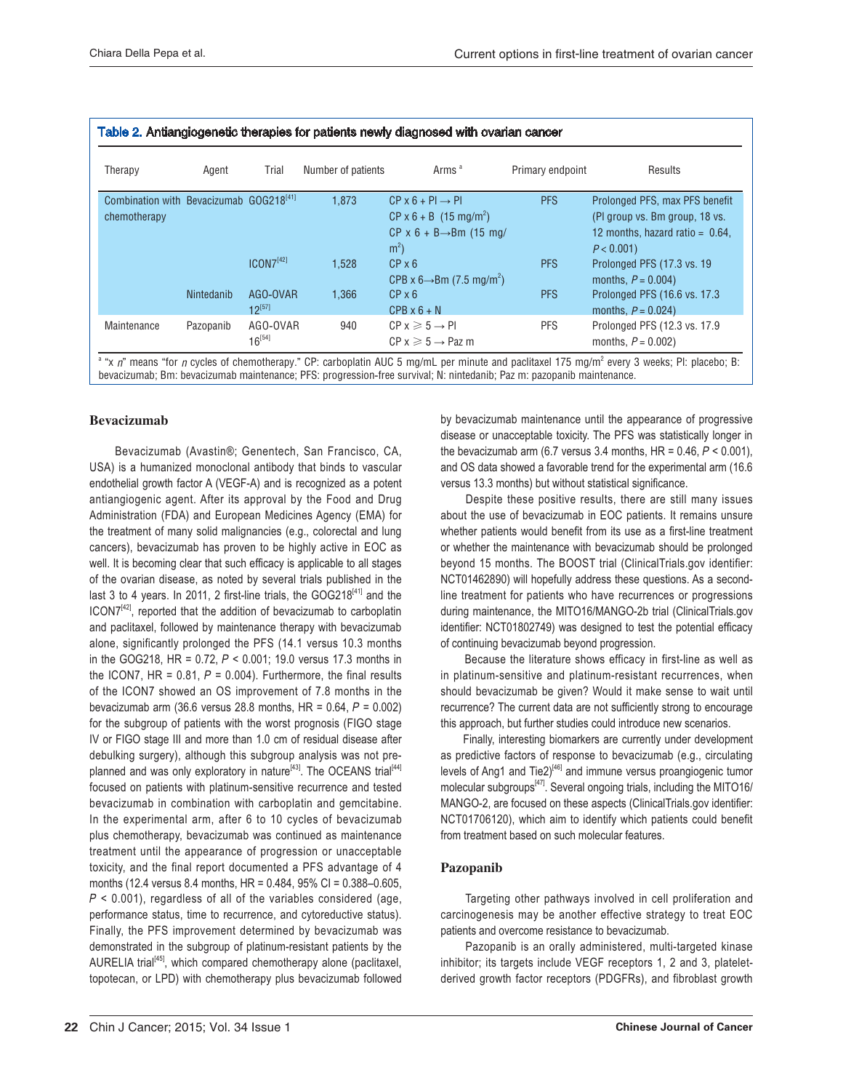| Therapy                                             | Agent      | Trial                 | Number of patients | Arms <sup>a</sup>                                 | Primary endpoint | Results                            |
|-----------------------------------------------------|------------|-----------------------|--------------------|---------------------------------------------------|------------------|------------------------------------|
| Combination with Bevacizumab GOG218 <sup>[41]</sup> |            |                       | 1.873              | $CP \times 6 + PI \rightarrow PI$                 | <b>PFS</b>       | Prolonged PFS, max PFS benefit     |
| chemotherapy                                        |            |                       |                    | $CP \times 6 + B$ (15 mg/m <sup>2</sup> )         |                  | (PI group vs. Bm group, 18 vs.     |
|                                                     |            |                       |                    | $CP \times 6 + B \rightarrow Bm$ (15 mg/          |                  | 12 months, hazard ratio = $0.64$ , |
|                                                     |            |                       |                    | m <sup>2</sup>                                    |                  | $P < 0.001$ )                      |
|                                                     |            | ICON7 <sup>[42]</sup> | 1.528              | $CP \times 6$                                     | <b>PFS</b>       | Prolonged PFS (17.3 vs. 19)        |
|                                                     |            |                       |                    | CPB x $6 \rightarrow$ Bm (7.5 mg/m <sup>2</sup> ) |                  | months, $P = 0.004$ )              |
|                                                     | Nintedanib | AGO-OVAR              | 1.366              | $CP \times 6$                                     | <b>PFS</b>       | Prolonged PFS (16.6 vs. 17.3)      |
|                                                     |            | $12^{[57]}$           |                    | $CPB \times 6 + N$                                |                  | months, $P = 0.024$ )              |
| Maintenance                                         | Pazopanib  | AGO-OVAR              | 940                | $CP x \ge 5 \rightarrow PI$                       | <b>PFS</b>       | Prolonged PFS (12.3 vs. 17.9       |
|                                                     |            | $16^{[54]}$           |                    | $CP x \ge 5 \rightarrow$ Paz m                    |                  | months, $P = 0.002$ )              |

 $^{\text{a}}$  "x  $\eta$ " means "for  $\eta$  cycles of chemotherapy." CP: carboplatin AUC 5 mg/mL per minute and paclitaxel 175 mg/m $^2$ every 3 weeks; PI: placebo; B: bevacizumab; Bm: bevacizumab maintenance; PFS: progression-free survival; N: nintedanib; Paz m: pazopanib maintenance.

#### Bevacizumab

Bevacizumab (Avastin®; Genentech, San Francisco, CA, USA) is a humanized monoclonal antibody that binds to vascular endothelial growth factor A (VEGF-A) and is recognized as a potent antiangiogenic agent. After its approval by the Food and Drug Administration (FDA) and European Medicines Agency (EMA) for the treatment of many solid malignancies (e.g., colorectal and lung cancers), bevacizumab has proven to be highly active in EOC as well. It is becoming clear that such efficacy is applicable to all stages of the ovarian disease, as noted by several trials published in the last 3 to 4 years. In 2011, 2 first-line trials, the GOG218 $^{[41]}$  and the  $ICON7<sup>[42]</sup>$ , reported that the addition of bevacizumab to carboplatin and paclitaxel, followed by maintenance therapy with bevacizumab alone, significantly prolonged the PFS (14.1 versus 10.3 months in the GOG218, HR = 0.72,  $P < 0.001$ ; 19.0 versus 17.3 months in the ICON7, HR = 0.81,  $P = 0.004$ ). Furthermore, the final results of the ICON7 showed an OS improvement of 7.8 months in the bevacizumab arm (36.6 versus 28.8 months, HR =  $0.64$ ,  $P = 0.002$ ) for the subgroup of patients with the worst prognosis (FIGO stage IV or FIGO stage III and more than 1.0 cm of residual disease after debulking surgery), although this subgroup analysis was not preplanned and was only exploratory in nature<sup>[43]</sup>. The OCEANS trial<sup>[44]</sup> focused on patients with platinum-sensitive recurrence and tested bevacizumab in combination with carboplatin and gemcitabine. In the experimental arm, after 6 to 10 cycles of bevacizumab plus chemotherapy, bevacizumab was continued as maintenance treatment until the appearance of progression or unacceptable toxicity, and the final report documented a PFS advantage of 4 months (12.4 versus 8.4 months, HR = 0.484, 95% CI = 0.388–0.605,  $P < 0.001$ ), regardless of all of the variables considered (age, performance status, time to recurrence, and cytoreductive status). Finally, the PFS improvement determined by bevacizumab was demonstrated in the subgroup of platinum-resistant patients by the AURELIA trial<sup>[45]</sup>, which compared chemotherapy alone (paclitaxel, topotecan, or LPD) with chemotherapy plus bevacizumab followed by bevacizumab maintenance until the appearance of progressive disease or unacceptable toxicity. The PFS was statistically longer in the bevacizumab arm (6.7 versus 3.4 months, HR = 0.46,  $P < 0.001$ ), and OS data showed a favorable trend for the experimental arm (16.6 versus 13.3 months) but without statistical significance.

Despite these positive results, there are still many issues about the use of bevacizumab in EOC patients. It remains unsure whether patients would benefit from its use as a first-line treatment or whether the maintenance with bevacizumab should be prolonged beyond 15 months. The BOOST trial (ClinicalTrials.gov identifier: NCT01462890) will hopefully address these questions. As a secondline treatment for patients who have recurrences or progressions during maintenance, the MITO16/MANGO-2b trial (ClinicalTrials.gov identifier: NCT01802749) was designed to test the potential efficacy of continuing bevacizumab beyond progression.

 Because the literature shows efficacy in first-line as well as in platinum-sensitive and platinum-resistant recurrences, when should bevacizumab be given? Would it make sense to wait until recurrence? The current data are not sufficiently strong to encourage this approach, but further studies could introduce new scenarios.

 Finally, interesting biomarkers are currently under development as predictive factors of response to bevacizumab (e.g., circulating levels of Ang1 and Tie2)<sup>[46]</sup> and immune versus proangiogenic tumor molecular subgroups<sup>[47]</sup>. Several ongoing trials, including the MITO16/ MANGO-2, are focused on these aspects (ClinicalTrials.gov identifier: NCT01706120), which aim to identify which patients could benefit from treatment based on such molecular features.

#### Pazopanib

 Targeting other pathways involved in cell proliferation and carcinogenesis may be another effective strategy to treat EOC patients and overcome resistance to bevacizumab.

Pazopanib is an orally administered, multi-targeted kinase inhibitor; its targets include VEGF receptors 1, 2 and 3, plateletderived growth factor receptors (PDGFRs), and fibroblast growth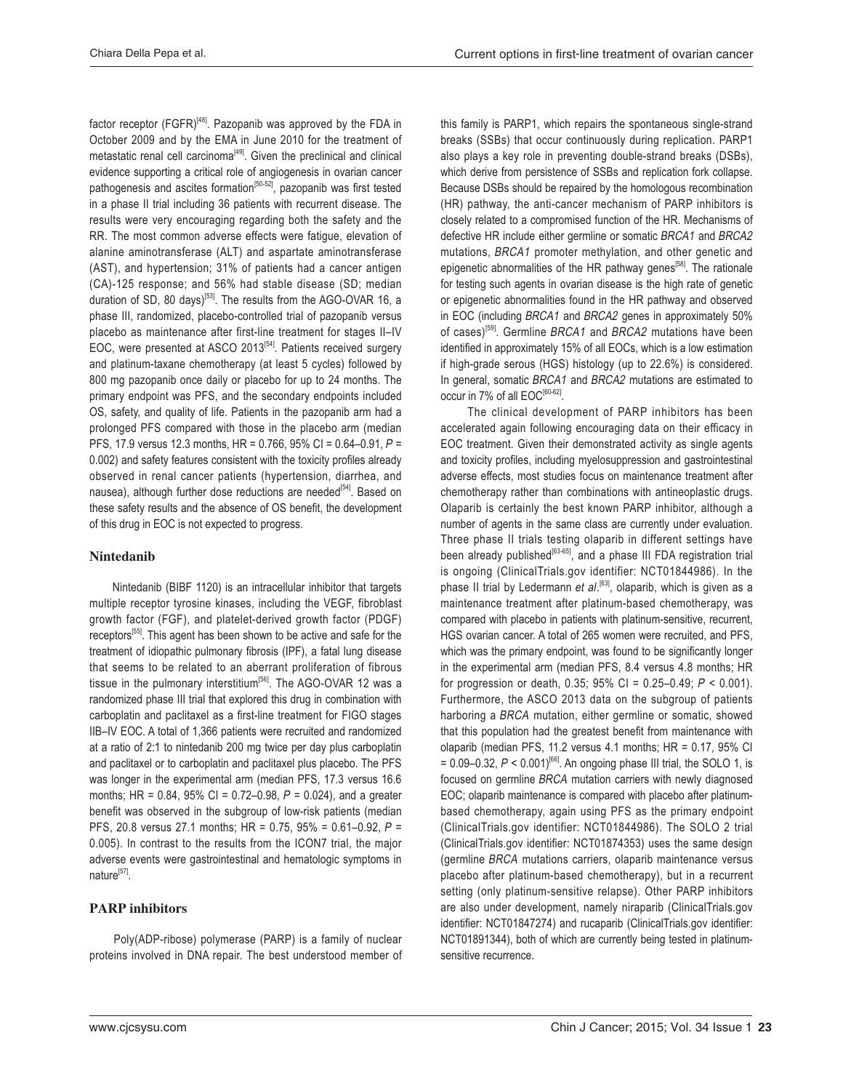factor receptor (FGFR)<sup>[48]</sup>. Pazopanib was approved by the FDA in October 2009 and by the EMA in June 2010 for the treatment of metastatic renal cell carcinoma<sup>[49]</sup>. Given the preclinical and clinical evidence supporting a critical role of angiogenesis in ovarian cancer pathogenesis and ascites formation<sup>[50-52]</sup>, pazopanib was first tested in a phase II trial including 36 patients with recurrent disease. The results were very encouraging regarding both the safety and the RR. The most common adverse effects were fatigue, elevation of alanine aminotransferase (ALT) and aspartate aminotransferase (AST), and hypertension; 31% of patients had a cancer antigen (CA)-125 response; and 56% had stable disease (SD; median duration of SD, 80 days) $^{[53]}$ . The results from the AGO-OVAR 16, a phase III, randomized, placebo-controlled trial of pazopanib versus placebo as maintenance after first-line treatment for stages II-IV EOC, were presented at ASCO 2013 $^{[54]}$ . Patients received surgery and platinum-taxane chemotherapy (at least 5 cycles) followed by 800 mg pazopanib once daily or placebo for up to 24 months. The primary endpoint was PFS, and the secondary endpoints included OS, safety, and quality of life. Patients in the pazopanib arm had a prolonged PFS compared with those in the placebo arm (median PFS, 17.9 versus 12.3 months, HR = 0.766, 95% CI = 0.64–0.91,  $P =$ 0.002) and safety features consistent with the toxicity profiles already observed in renal cancer patients (hypertension, diarrhea, and nausea), although further dose reductions are needed<sup>[54]</sup>. Based on these safety results and the absence of OS benefit, the development of this drug in EOC is not expected to progress.

#### Nintedanib

Nintedanib (BIBF 1120) is an intracellular inhibitor that targets multiple receptor tyrosine kinases, including the VEGF, fibroblast growth factor (FGF), and platelet-derived growth factor (PDGF) receptors<sup>[55]</sup>. This agent has been shown to be active and safe for the treatment of idiopathic pulmonary fibrosis (IPF), a fatal lung disease that seems to be related to an aberrant proliferation of fibrous tissue in the pulmonary interstitium<sup>[56]</sup>. The AGO-OVAR 12 was a randomized phase III trial that explored this drug in combination with carboplatin and paclitaxel as a first-line treatment for FIGO stages IIB-IV EOC. A total of 1,366 patients were recruited and randomized at a ratio of 2:1 to nintedanib 200 mg twice per day plus carboplatin and paclitaxel or to carboplatin and paclitaxel plus placebo. The PFS was longer in the experimental arm (median PFS, 17.3 versus 16.6 months; HR = 0.84, 95% CI = 0.72–0.98,  $P = 0.024$ ), and a greater benefit was observed in the subgroup of low-risk patients (median PFS, 20.8 versus 27.1 months; HR = 0.75, 95% = 0.61–0.92,  $P =$ 0.005). In contrast to the results from the ICON7 trial, the major adverse events were gastrointestinal and hematologic symptoms in nature $^{[57]}$ .

#### PARP inhibitors

Poly(ADP-ribose) polymerase (PARP) is a family of nuclear proteins involved in DNA repair. The best understood member of

this family is PARP1, which repairs the spontaneous single-strand breaks (SSBs) that occur continuously during replication. PARP1 also plays a key role in preventing double-strand breaks (DSBs), which derive from persistence of SSBs and replication fork collapse. Because DSBs should be repaired by the homologous recombination (HR) pathway, the anti-cancer mechanism of PARP inhibitors is closely related to a compromised function of the HR. Mechanisms of defective HR include either germline or somatic BRCA1 and BRCA2 mutations, BRCA1 promoter methylation, and other genetic and epigenetic abnormalities of the HR pathway genes<sup>[58]</sup>. The rationale for testing such agents in ovarian disease is the high rate of genetic or epigenetic abnormalities found in the HR pathway and observed in EOC (including  $BRCA1$  and  $BRCA2$  genes in approximately 50% of cases)<sup>[59]</sup>. Germline BRCA1 and BRCA2 mutations have been identified in approximately 15% of all EOCs, which is a low estimation if high-grade serous (HGS) histology (up to 22.6%) is considered. In general, somatic BRCA1 and BRCA2 mutations are estimated to occur in 7% of all  $EOC^{[60-62]}$ .

The clinical development of PARP inhibitors has been accelerated again following encouraging data on their efficacy in EOC treatment. Given their demonstrated activity as single agents and toxicity profiles, including myelosuppression and gastrointestinal adverse effects, most studies focus on maintenance treatment after chemotherapy rather than combinations with antineoplastic drugs. Olaparib is certainly the best known PARP inhibitor, although a number of agents in the same class are currently under evaluation. Three phase II trials testing olaparib in different settings have been already published<sup>[63-65]</sup>, and a phase III FDA registration trial is ongoing (ClinicalTrials.gov identifier: NCT01844986). In the phase II trial by Ledermann et al.<sup>[63]</sup>, olaparib, which is given as a maintenance treatment after platinum-based chemotherapy, was compared with placebo in patients with platinum-sensitive, recurrent, HGS ovarian cancer. A total of 265 women were recruited, and PFS, which was the primary endpoint, was found to be significantly longer in the experimental arm (median PFS, 8.4 versus 4.8 months; HR for progression or death, 0.35; 95% CI = 0.25-0.49;  $P < 0.001$ ). Furthermore, the ASCO 2013 data on the subgroup of patients harboring a BRCA mutation, either germline or somatic, showed that this population had the greatest benefit from maintenance with olaparib (median PFS, 11.2 versus 4.1 months;  $HR = 0.17$ , 95% CI  $= 0.09 - 0.32$ ,  $P < 0.001$ <sup>[66]</sup>. An ongoing phase III trial, the SOLO 1, is focused on germline  $BRCA$  mutation carriers with newly diagnosed EOC; olaparib maintenance is compared with placebo after platinum based chemotherapy, again using PFS as the primary endpoint (ClinicalTrials.gov identifier: NCT01844986). The SOLO 2 trial (ClinicalTrials.gov identifier: NCT01874353) uses the same design  $(germline *BRCA* mutations carriers, olaparib maintenance versus)$ placebo after platinum-based chemotherapy), but in a recurrent setting (only platinum-sensitive relapse). Other PARP inhibitors are also under development, namely niraparib (ClinicalTrials.gov identifier: NCT01847274) and rucaparib (ClinicalTrials.gov identifier: NCT01891344), both of which are currently being tested in platinumsensitive recurrence.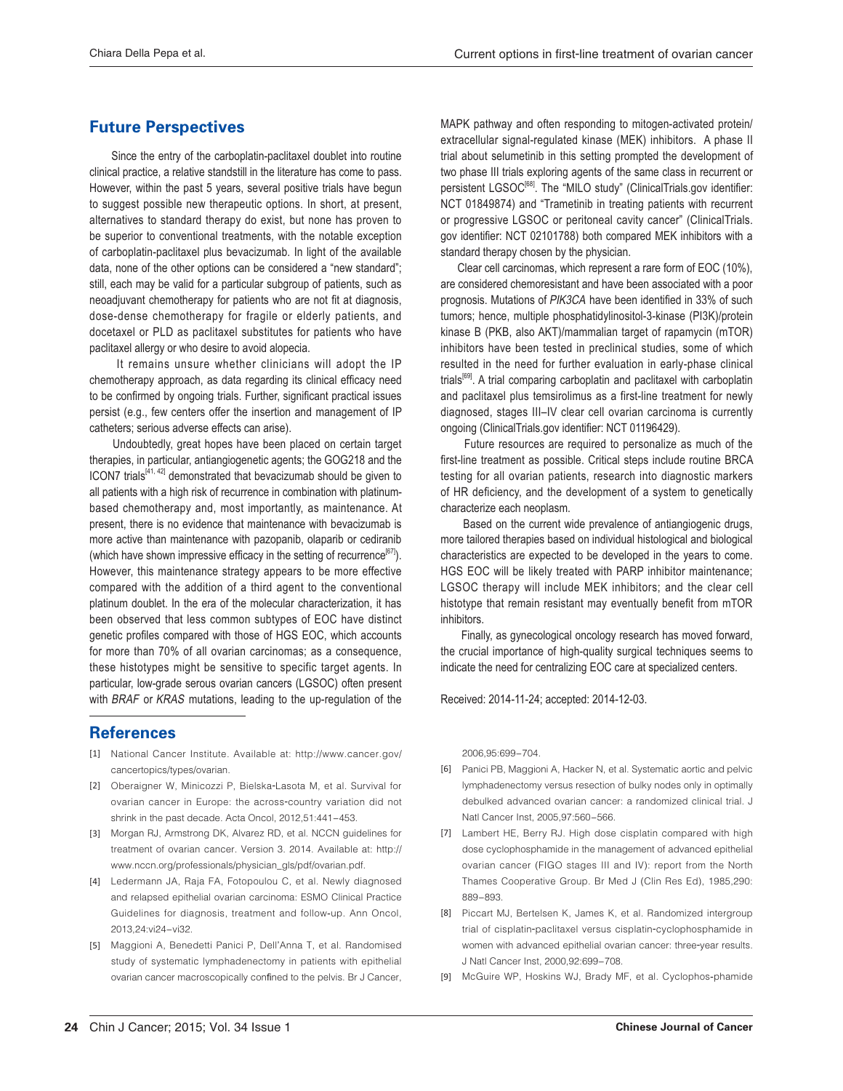## **Future Perspectives**

 Since the entry of the carboplatin-paclitaxel doublet into routine clinical practice, a relative standstill in the literature has come to pass. However, within the past 5 years, several positive trials have begun to suggest possible new therapeutic options. In short, at present, alternatives to standard therapy do exist, but none has proven to be superior to conventional treatments, with the notable exception of carboplatin-paclitaxel plus bevacizumab. In light of the available data, none of the other options can be considered a "new standard"; still, each may be valid for a particular subgroup of patients, such as neoadjuvant chemotherapy for patients who are not fit at diagnosis, dose-dense chemotherapy for fragile or elderly patients, and docetaxel or PLD as paclitaxel substitutes for patients who have paclitaxel allergy or who desire to avoid alopecia.

It remains unsure whether clinicians will adopt the IP chemotherapy approach, as data regarding its clinical efficacy need to be confirmed by ongoing trials. Further, significant practical issues persist (e.g., few centers offer the insertion and management of IP catheters; serious adverse effects can arise).

 Undoubtedly, great hopes have been placed on certain target therapies, in particular, antiangiogenetic agents; the GOG218 and the ICON7 trials<sup>[41, 42]</sup> demonstrated that bevacizumab should be given to all patients with a high risk of recurrence in combination with platinum based chemotherapy and, most importantly, as maintenance. At present, there is no evidence that maintenance with bevacizumab is more active than maintenance with pazopanib, olaparib or cediranib (which have shown impressive efficacy in the setting of recurrence<sup>[67]</sup>). However, this maintenance strategy appears to be more effective compared with the addition of a third agent to the conventional platinum doublet. In the era of the molecular characterization, it has been observed that less common subtypes of EOC have distinct genetic profiles compared with those of HGS EOC, which accounts for more than 70% of all ovarian carcinomas; as a consequence, these histotypes might be sensitive to specific target agents. In particular, low-grade serous ovarian cancers (LGSOC) often present with BRAF or KRAS mutations, leading to the up-regulation of the

#### **References**

- [1] National Cancer Institute. Available at: http://www.cancer.gov/ cancertopics/types/ovarian.
- [2] Oberaigner W, Minicozzi P, Bielska-Lasota M, et al. Survival for ovarian cancer in Europe: the across-country variation did not shrink in the past decade. Acta Oncol, 2012,51:441-453.
- [3] Morgan RJ, Armstrong DK, Alvarez RD, et al. NCCN guidelines for treatment of ovarian cancer. Version 3. 2014. Available at: http:// www.nccn.org/professionals/physician\_gls/pdf/ovarian.pdf.
- [4] Ledermann JA, Raja FA, Fotopoulou C, et al. Newly diagnosed and relapsed epithelial ovarian carcinoma: ESMO Clinical Practice Guidelines for diagnosis, treatment and follow-up. Ann Oncol, 2013 24: vi24-vi32
- [5] Maggioni A, Benedetti Panici P, Dell'Anna T, et al. Randomised study of systematic lymphadenectomy in patients with epithelial ovarian cancer macroscopically confined to the pelvis. Br J Cancer,

MAPK pathway and often responding to mitogen-activated protein/ extracellular signal-regulated kinase (MEK) inhibitors. A phase II trial about selumetinib in this setting prompted the development of two phase III trials exploring agents of the same class in recurrent or persistent LGSOC<sup>[68]</sup>. The "MILO study" (ClinicalTrials.gov identifier: NCT 01849874) and "Trametinib in treating patients with recurrent or progressive LGSOC or peritoneal cavity cancer" (ClinicalTrials. gov identifier: NCT 02101788) both compared MEK inhibitors with a standard therapy chosen by the physician.

Clear cell carcinomas, which represent a rare form of EOC (10%), are considered chemoresistant and have been associated with a poor prognosis. Mutations of PIK3CA have been identified in 33% of such tumors; hence, multiple phosphatidylinositol-3-kinase (PI3K)/protein kinase B (PKB, also AKT)/mammalian target of rapamycin (mTOR) inhibitors have been tested in preclinical studies, some of which resulted in the need for further evaluation in early-phase clinical trials<sup>[69]</sup>. A trial comparing carboplatin and paclitaxel with carboplatin and paclitaxel plus temsirolimus as a first-line treatment for newly diagnosed, stages III-IV clear cell ovarian carcinoma is currently ongoing (ClinicalTrials.gov identifier: NCT 01196429).

 Future resources are required to personalize as much of the first-line treatment as possible. Critical steps include routine BRCA testing for all ovarian patients, research into diagnostic markers of HR deficiency, and the development of a system to genetically characterize each neoplasm.

 Based on the current wide prevalence of antiangiogenic drugs, more tailored therapies based on individual histological and biological characteristics are expected to be developed in the years to come. HGS EOC will be likely treated with PARP inhibitor maintenance; LGSOC therapy will include MEK inhibitors; and the clear cell histotype that remain resistant may eventually benefit from mTOR inhibitors.

 Finally, as gynecological oncology research has moved forward, the crucial importance of high-quality surgical techniques seems to indicate the need for centralizing EOC care at specialized centers.

Received: 2014-11-24; accepted: 2014-12-03.

2006.95:699-704

- [6] Panici PB, Maggioni A, Hacker N, et al. Systematic aortic and pelvic lymphadenectomy versus resection of bulky nodes only in optimally debulked advanced ovarian cancer: a randomized clinical trial. J Natl Cancer Inst. 2005.97:560-566.
- [7] Lambert HE, Berry RJ. High dose cisplatin compared with high dose cyclophosphamide in the management of advanced epithelial ovarian cancer (FIGO stages III and IV): report from the North Thames Cooperative Group. Br Med J (Clin Res Ed), 1985,290: 889-893
- [8] Piccart MJ, Bertelsen K, James K, et al. Randomized intergroup trial of cisplatin-paclitaxel versus cisplatin-cyclophosphamide in women with advanced epithelial ovarian cancer: three-year results. J Natl Cancer Inst. 2000.92:699-708
- [9] McGuire WP, Hoskins WJ, Brady MF, et al. Cyclophos-phamide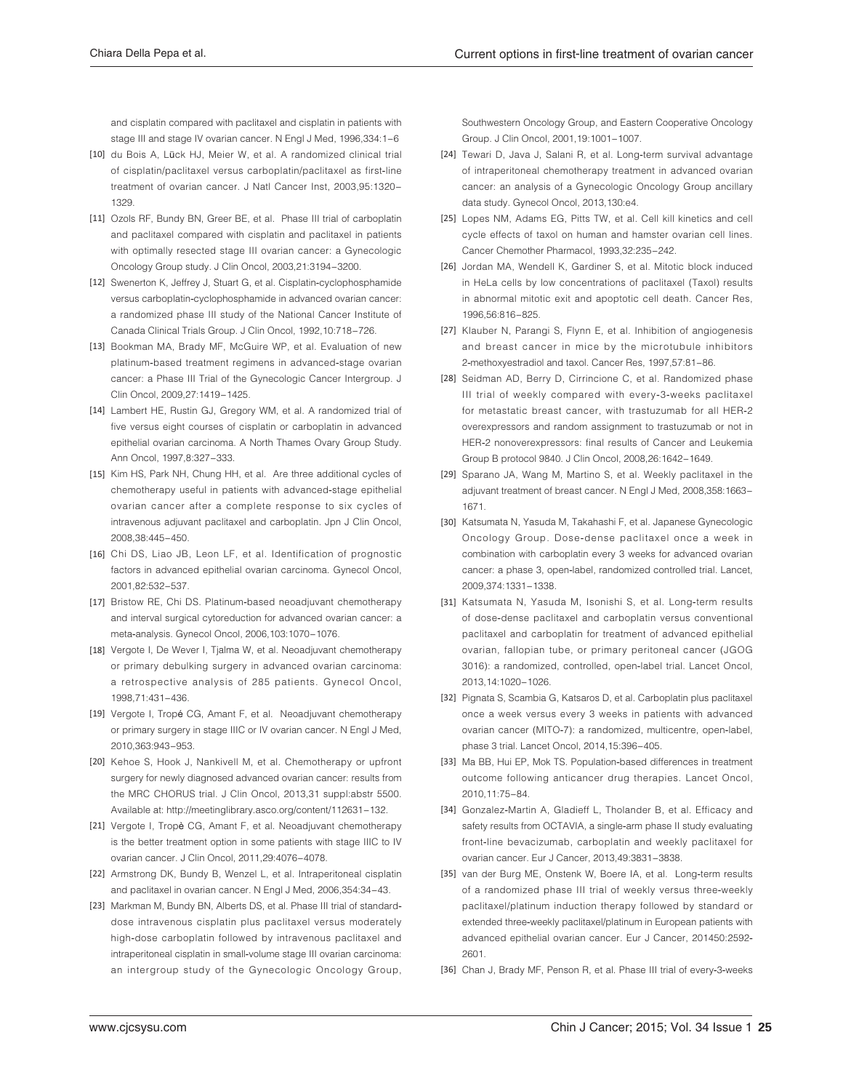and cisplatin compared with paclitaxel and cisplatin in patients with stage III and stage IV ovarian cancer. N Engl J Med, 1996,334:1-6

- [10] du Bois A, Lück HJ, Meier W, et al. A randomized clinical trial of cisplatin/paclitaxel versus carboplatin/paclitaxel as first-line treatment of ovarian cancer. J Natl Cancer Inst, 2003,95:1320-1329
- [11] Ozols RF, Bundy BN, Greer BE, et al. Phase III trial of carboplatin and paclitaxel compared with cisplatin and paclitaxel in patients with optimally resected stage III ovarian cancer: a Gynecologic Oncology Group study. J Clin Oncol, 2003,21:3194-3200.
- [12] Swenerton K, Jeffrey J, Stuart G, et al. Cisplatin-cyclophosphamide versus carboplatin-cyclophosphamide in advanced ovarian cancer: a randomized phase III study of the National Cancer Institute of Canada Clinical Trials Group. J Clin Oncol, 1992, 10:718-726.
- [13] Bookman MA, Brady MF, McGuire WP, et al. Evaluation of new platinum-based treatment regimens in advanced-stage ovarian cancer: a Phase III Trial of the Gynecologic Cancer Intergroup. J Clin Oncol, 2009, 27:1419-1425.
- [14] Lambert HE, Rustin GJ, Gregory WM, et al. A randomized trial of five versus eight courses of cisplatin or carboplatin in advanced epithelial ovarian carcinoma. A North Thames Ovary Group Study. Ann Oncol, 1997,8:327-333.
- [15] Kim HS, Park NH, Chung HH, et al. Are three additional cycles of chemotherapy useful in patients with advanced-stage epithelial ovarian cancer after a complete response to six cycles of intravenous adjuvant paclitaxel and carboplatin. Jpn J Clin Oncol, 2008.38:445-450
- [16] Chi DS, Liao JB, Leon LF, et al. Identification of prognostic factors in advanced epithelial ovarian carcinoma. Gynecol Oncol, 2001.82:532-537
- [17] Bristow RE, Chi DS. Platinum-based neoadjuvant chemotherapy and interval surgical cytoreduction for advanced ovarian cancer: a meta-analysis. Gynecol Oncol, 2006, 103:1070-1076.
- [18] Vergote I, De Wever I, Tjalma W, et al. Neoadjuvant chemotherapy or primary debulking surgery in advanced ovarian carcinoma: a retrospective analysis of 285 patients. Gynecol Oncol, 1998.71:431-436
- [19] Vergote I, Tropé CG, Amant F, et al. Neoadjuvant chemotherapy or primary surgery in stage IIIC or IV ovarian cancer. N Engl J Med, 2010.363:943-953
- [20] Kehoe S, Hook J, Nankivell M, et al. Chemotherapy or upfront surgery for newly diagnosed advanced ovarian cancer: results from the MRC CHORUS trial. J Clin Oncol, 2013,31 suppl:abstr 5500. Available at: http://meetinglibrary.asco.org/content/112631-132.
- [21] Vergote I, Tropè CG, Amant F, et al. Neoadjuvant chemotherapy is the better treatment option in some patients with stage IIIC to IV ovarian cancer. J Clin Oncol, 2011,29:4076-4078.
- [22] Armstrong DK, Bundy B, Wenzel L, et al. Intraperitoneal cisplatin and paclitaxel in ovarian cancer. N Engl J Med, 2006,354:34-43.
- [23] Markman M, Bundy BN, Alberts DS, et al. Phase III trial of standarddose intravenous cisplatin plus paclitaxel versus moderately high-dose carboplatin followed by intravenous paclitaxel and intraperitoneal cisplatin in small-volume stage III ovarian carcinoma: an intergroup study of the Gynecologic Oncology Group,

Southwestern Oncology Group, and Eastern Cooperative Oncology Group. J Clin Oncol, 2001, 19:1001-1007.

- [24] Tewari D, Java J, Salani R, et al. Long-term survival advantage of intraperitoneal chemotherapy treatment in advanced ovarian cancer: an analysis of a Gynecologic Oncology Group ancillary data study. Gynecol Oncol, 2013,130:e4.
- [25] Lopes NM, Adams EG, Pitts TW, et al. Cell kill kinetics and cell cycle effects of taxol on human and hamster ovarian cell lines. Cancer Chemother Pharmacol, 1993,32:235-242.
- [26] Jordan MA, Wendell K, Gardiner S, et al. Mitotic block induced in HeLa cells by low concentrations of paclitaxel (Taxol) results in abnormal mitotic exit and apoptotic cell death. Cancer Res, 1996.56:816-825
- [27] Klauber N, Parangi S, Flynn E, et al. Inhibition of angiogenesis and breast cancer in mice by the microtubule inhibitors 2-methoxyestradiol and taxol. Cancer Res, 1997,57:81-86.
- [28] Seidman AD, Berry D, Cirrincione C, et al. Randomized phase III trial of weekly compared with every-3-weeks paclitaxel for metastatic breast cancer, with trastuzumab for all HER-2 overexpressors and random assignment to trastuzumab or not in HER-2 nonoverexpressors: final results of Cancer and Leukemia Group B protocol 9840. J Clin Oncol, 2008, 26:1642-1649.
- [29] Sparano JA, Wang M, Martino S, et al. Weekly paclitaxel in the adjuvant treatment of breast cancer. N Engl J Med, 2008,358:1663-1671
- [30] Katsumata N, Yasuda M, Takahashi F, et al. Japanese Gynecologic Oncology Group. Dose-dense paclitaxel once a week in combination with carboplatin every 3 weeks for advanced ovarian cancer: a phase 3, open-label, randomized controlled trial. Lancet, 2009.374:1331-1338.
- [31] Katsumata N, Yasuda M, Isonishi S, et al. Long-term results of dose-dense paclitaxel and carboplatin versus conventional paclitaxel and carboplatin for treatment of advanced epithelial ovarian, fallopian tube, or primary peritoneal cancer (JGOG 3016): a randomized, controlled, open-label trial. Lancet Oncol, 2013, 14: 1020 - 1026.
- [32] Pignata S, Scambia G, Katsaros D, et al. Carboplatin plus paclitaxel once a week versus every 3 weeks in patients with advanced ovarian cancer (MITO-7): a randomized, multicentre, open-label, phase 3 trial. Lancet Oncol, 2014, 15:396-405.
- [33] Ma BB, Hui EP, Mok TS. Population-based differences in treatment outcome following anticancer drug therapies. Lancet Oncol, 2010 11:75-84
- [34] Gonzalez-Martin A, Gladieff L, Tholander B, et al. Efficacy and safety results from OCTAVIA, a single-arm phase II study evaluating front-line bevacizumab, carboplatin and weekly paclitaxel for ovarian cancer. Eur J Cancer, 2013,49:3831-3838.
- [35] van der Burg ME, Onstenk W, Boere IA, et al. Long-term results of a randomized phase III trial of weekly versus three-weekly paclitaxel/platinum induction therapy followed by standard or extended three-weekly paclitaxel/platinum in European patients with advanced epithelial ovarian cancer. Eur J Cancer, 201450:2592-2601
- [36] Chan J, Brady MF, Penson R, et al. Phase III trial of every-3-weeks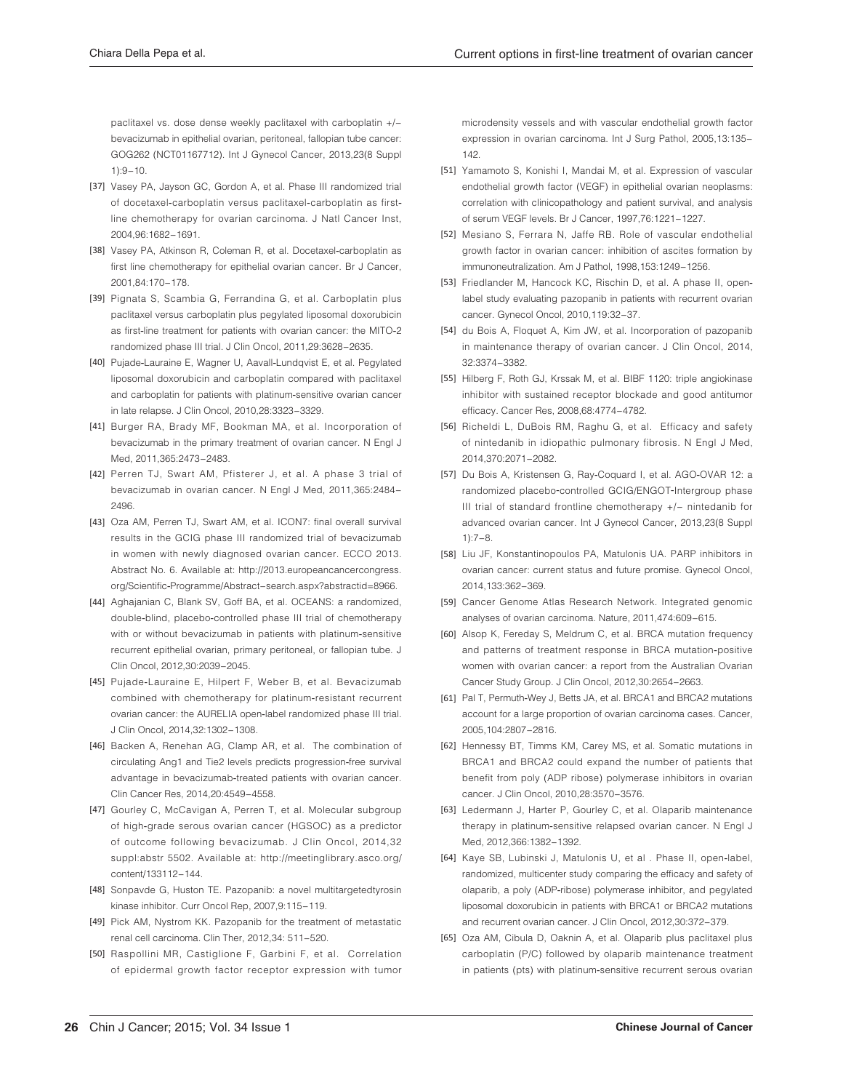paclitaxel vs. dose dense weekly paclitaxel with carboplatin +/bevacizumab in epithelial ovarian, peritoneal, fallopian tube cancer: GOG262 (NCT01167712). Int J Gynecol Cancer, 2013,23(8 Suppl  $1):9 - 10$ 

- [37] Vasey PA, Jayson GC, Gordon A, et al. Phase III randomized trial of docetaxel-carboplatin versus paclitaxel-carboplatin as firstline chemotherapy for ovarian carcinoma. J Natl Cancer Inst, 2004 96:1682-1691
- [38] Vasey PA, Atkinson R, Coleman R, et al. Docetaxel-carboplatin as first line chemotherapy for epithelial ovarian cancer. Br J Cancer, 2001.84:170-178
- [39] Pignata S, Scambia G, Ferrandina G, et al. Carboplatin plus paclitaxel versus carboplatin plus pegylated liposomal doxorubicin as first-line treatment for patients with ovarian cancer: the MITO-2 randomized phase III trial. J Clin Oncol, 2011,29:3628-2635.
- [40] Pujade-Lauraine E, Wagner U, Aavall-Lundqvist E, et al. Pegylated liposomal doxorubicin and carboplatin compared with paclitaxel and carboplatin for patients with platinum-sensitive ovarian cancer in late relapse. J Clin Oncol, 2010,28:3323-3329.
- [41] Burger RA, Brady MF, Bookman MA, et al. Incorporation of bevacizumab in the primary treatment of ovarian cancer. N Engl J Med, 2011,365:2473-2483.
- [42] Perren TJ, Swart AM, Pfisterer J, et al. A phase 3 trial of bevacizumab in ovarian cancer. N Engl J Med, 2011,365:2484-2496
- [43] Oza AM, Perren TJ, Swart AM, et al. ICON7: final overall survival results in the GCIG phase III randomized trial of bevacizumab in women with newly diagnosed ovarian cancer. ECCO 2013. Abstract No. 6. Available at: http://2013.europeancancercongress. org/Scientific-Programme/Abstract-search.aspx?abstractid=8966.
- [44] Aghajanian C, Blank SV, Goff BA, et al. OCEANS: a randomized, double-blind, placebo-controlled phase III trial of chemotherapy with or without bevacizumab in patients with platinum-sensitive recurrent epithelial ovarian, primary peritoneal, or fallopian tube. J Clin Oncol, 2012,30:2039-2045.
- [45] Pujade-Lauraine E, Hilpert F, Weber B, et al. Bevacizumab combined with chemotherapy for platinum-resistant recurrent ovarian cancer: the AURELIA open-label randomized phase III trial. J Clin Oncol, 2014,32:1302-1308.
- [46] Backen A, Renehan AG, Clamp AR, et al. The combination of circulating Ang1 and Tie2 levels predicts progression-free survival advantage in bevacizumab-treated patients with ovarian cancer. Clin Cancer Res, 2014, 20:4549-4558.
- [47] Gourley C, McCavigan A, Perren T, et al. Molecular subgroup of high-grade serous ovarian cancer (HGSOC) as a predictor of outcome following bevacizumab. J Clin Oncol, 2014,32 suppl:abstr 5502. Available at: http://meetinglibrary.asco.org/ content/133112-144.
- [48] Sonpavde G, Huston TE. Pazopanib: a novel multitargetedtyrosin kinase inhibitor. Curr Oncol Rep, 2007,9:115-119.
- [49] Pick AM, Nystrom KK. Pazopanib for the treatment of metastatic renal cell carcinoma. Clin Ther, 2012,34: 511-520.
- [50] Raspollini MR, Castiglione F, Garbini F, et al. Correlation of epidermal growth factor receptor expression with tumor

microdensity vessels and with vascular endothelial growth factor expression in ovarian carcinoma. Int J Surg Pathol. 2005.13:135-142.

- [51] Yamamoto S, Konishi I, Mandai M, et al. Expression of vascular endothelial growth factor (VEGF) in epithelial ovarian neoplasms: correlation with clinicopathology and patient survival, and analysis of serum VEGF levels. Br J Cancer, 1997, 76:1221-1227.
- [52] Mesiano S, Ferrara N, Jaffe RB. Role of vascular endothelial growth factor in ovarian cancer: inhibition of ascites formation by immunoneutralization. Am J Pathol, 1998, 153:1249-1256.
- [53] Friedlander M, Hancock KC, Rischin D, et al. A phase II, openlabel study evaluating pazopanib in patients with recurrent ovarian cancer. Gynecol Oncol, 2010, 119:32-37.
- [54] du Bois A, Floquet A, Kim JW, et al. Incorporation of pazopanib in maintenance therapy of ovarian cancer. J Clin Oncol, 2014, 32:3374-3382
- [55] Hilberg F, Roth GJ, Krssak M, et al. BIBF 1120: triple angiokinase inhibitor with sustained receptor blockade and good antitumor efficacy. Cancer Res, 2008,68:4774-4782.
- [56] Richeldi L, DuBois RM, Raghu G, et al. Efficacy and safety of nintedanib in idiopathic pulmonary fibrosis. N Engl J Med, 2014.370:2071-2082.
- [57] Du Bois A, Kristensen G, Ray-Coquard I, et al. AGO-OVAR 12: a randomized placebo-controlled GCIG/ENGOT-Intergroup phase III trial of standard frontline chemotherapy +/- nintedanib for advanced ovarian cancer. Int J Gynecol Cancer, 2013,23(8 Suppl  $1:7 - 8.$
- [58] Liu JF, Konstantinopoulos PA, Matulonis UA. PARP inhibitors in ovarian cancer: current status and future promise. Gynecol Oncol, 2014.133:362-369
- [59] Cancer Genome Atlas Research Network. Integrated genomic analyses of ovarian carcinoma. Nature, 2011,474:609-615.
- [60] Alsop K, Fereday S, Meldrum C, et al. BRCA mutation frequency and patterns of treatment response in BRCA mutation-positive women with ovarian cancer: a report from the Australian Ovarian Cancer Study Group. J Clin Oncol, 2012,30:2654-2663.
- [61] Pal T, Permuth-Wey J, Betts JA, et al. BRCA1 and BRCA2 mutations account for a large proportion of ovarian carcinoma cases. Cancer, 2005, 104: 2807 - 2816.
- [62] Hennessy BT, Timms KM, Carey MS, et al. Somatic mutations in BRCA1 and BRCA2 could expand the number of patients that benefit from poly (ADP ribose) polymerase inhibitors in ovarian cancer. J Clin Oncol, 2010, 28:3570-3576.
- [63] Ledermann J, Harter P, Gourley C, et al. Olaparib maintenance therapy in platinum-sensitive relapsed ovarian cancer. N Engl J Med, 2012,366:1382-1392.
- [64] Kaye SB, Lubinski J, Matulonis U, et al . Phase II, open-label, randomized, multicenter study comparing the efficacy and safety of olaparib, a poly (ADP-ribose) polymerase inhibitor, and pegylated liposomal doxorubicin in patients with BRCA1 or BRCA2 mutations and recurrent ovarian cancer. J Clin Oncol, 2012,30:372-379.
- [65] Oza AM, Cibula D, Oaknin A, et al. Olaparib plus paclitaxel plus carboplatin (P/C) followed by olaparib maintenance treatment in patients (pts) with platinum-sensitive recurrent serous ovarian